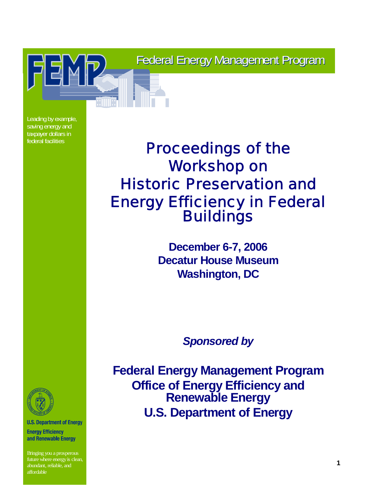Federal Energy Management Program

Leading by example, saving energy and taxpayer dollars in federal facilities

# Proceedings of the Workshop on Historic Preservation and Energy Efficiency in Federal Buildings

**December 6-7, 2006 Decatur House Museum Washington, DC**

*Sponsored by*

**Federal Energy Management Program Office of Energy Efficiency and Renewable Energy U.S. Department of Energy**



**U.S. Department of Energy** 

**Energy Efficiency** and Renewable Energy

*December 6-7, 2006 Historic Preservation and Energy Efficiency in Federal Buildings* **1** Bringing you a prosperous future where energy is clean, abundant, reliable, and affordable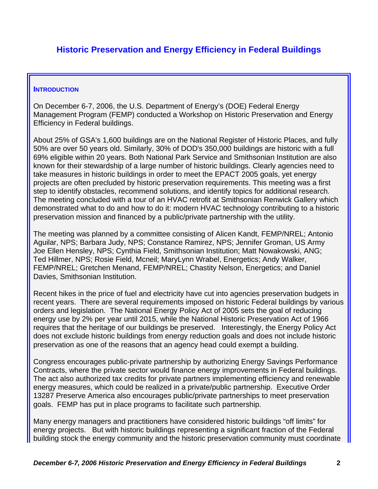# **Historic Preservation and Energy Efficiency in Federal Buildings**

#### **INTRODUCTION**

On December 6-7, 2006, the U.S. Department of Energy's (DOE) Federal Energy Management Program (FEMP) conducted a Workshop on Historic Preservation and Energy Efficiency in Federal buildings.

About 25% of GSA's 1,600 buildings are on the National Register of Historic Places, and fully 50% are over 50 years old. Similarly, 30% of DOD's 350,000 buildings are historic with a full 69% eligible within 20 years. Both National Park Service and Smithsonian Institution are also known for their stewardship of a large number of historic buildings. Clearly agencies need to take measures in historic buildings in order to meet the EPACT 2005 goals, yet energy projects are often precluded by historic preservation requirements. This meeting was a first step to identify obstacles, recommend solutions, and identify topics for additional research. The meeting concluded with a tour of an HVAC retrofit at Smithsonian Renwick Gallery which demonstrated what to do and how to do it: modern HVAC technology contributing to a historic preservation mission and financed by a public/private partnership with the utility.

The meeting was planned by a committee consisting of Alicen Kandt, FEMP/NREL; Antonio Aguilar, NPS; Barbara Judy, NPS; Constance Ramirez, NPS; Jennifer Groman, US Army Joe Ellen Hensley, NPS; Cynthia Field, Smithsonian Institution; Matt Nowakowski, ANG; Ted Hillmer, NPS; Rosie Field, Mcneil; MaryLynn Wrabel, Energetics; Andy Walker, FEMP/NREL; Gretchen Menand, FEMP/NREL; Chastity Nelson, Energetics; and Daniel Davies, Smithsonian Institution.

Recent hikes in the price of fuel and electricity have cut into agencies preservation budgets in recent years. There are several requirements imposed on historic Federal buildings by various orders and legislation. The National Energy Policy Act of 2005 sets the goal of reducing energy use by 2% per year until 2015, while the National Historic Preservation Act of 1966 requires that the heritage of our buildings be preserved. Interestingly, the Energy Policy Act does not exclude historic buildings from energy reduction goals and does not include historic preservation as one of the reasons that an agency head could exempt a building.

Congress encourages public-private partnership by authorizing Energy Savings Performance Contracts, where the private sector would finance energy improvements in Federal buildings. The act also authorized tax credits for private partners implementing efficiency and renewable energy measures, which could be realized in a private/public partnership. Executive Order 13287 Preserve America also encourages public/private partnerships to meet preservation goals. FEMP has put in place programs to facilitate such partnership.

Many energy managers and practitioners have considered historic buildings "off limits" for energy projects. But with historic buildings representing a significant fraction of the Federal building stock the energy community and the historic preservation community must coordinate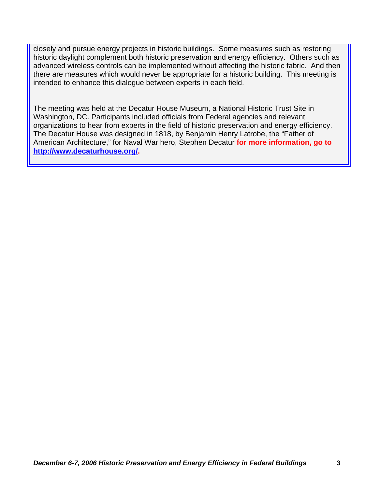closely and pursue energy projects in historic buildings. Some measures such as restoring historic daylight complement both historic preservation and energy efficiency. Others such as advanced wireless controls can be implemented without affecting the historic fabric. And then there are measures which would never be appropriate for a historic building. This meeting is intended to enhance this dialogue between experts in each field.

The meeting was held at the Decatur House Museum, a National Historic Trust Site in Washington, DC. Participants included officials from Federal agencies and relevant organizations to hear from experts in the field of historic preservation and energy efficiency. The Decatur House was designed in 1818, by Benjamin Henry Latrobe, the "Father of American Architecture," for Naval War hero, Stephen Decatur **for more information, go to <http://www.decaturhouse.org/>.**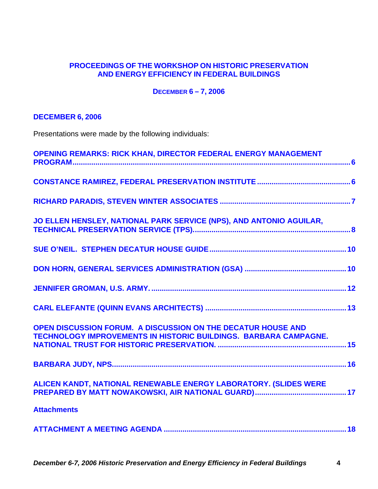## **PROCEEDINGS OF THE WORKSHOP ON HISTORIC PRESERVATION AND ENERGY EFFICIENCY IN FEDERAL BUILDINGS**

### **DECEMBER 6 – 7, 2006**

# **DECEMBER 6, 2006**

Presentations were made by the following individuals:

| <b>OPENING REMARKS: RICK KHAN, DIRECTOR FEDERAL ENERGY MANAGEMENT</b>                                                            |  |
|----------------------------------------------------------------------------------------------------------------------------------|--|
|                                                                                                                                  |  |
|                                                                                                                                  |  |
| JO ELLEN HENSLEY, NATIONAL PARK SERVICE (NPS), AND ANTONIO AGUILAR,                                                              |  |
|                                                                                                                                  |  |
|                                                                                                                                  |  |
|                                                                                                                                  |  |
|                                                                                                                                  |  |
| OPEN DISCUSSION FORUM. A DISCUSSION ON THE DECATUR HOUSE AND<br>TECHNOLOGY IMPROVEMENTS IN HISTORIC BUILDINGS. BARBARA CAMPAGNE. |  |
|                                                                                                                                  |  |
| ALICEN KANDT, NATIONAL RENEWABLE ENERGY LABORATORY. (SLIDES WERE                                                                 |  |
| <b>Attachments</b>                                                                                                               |  |
|                                                                                                                                  |  |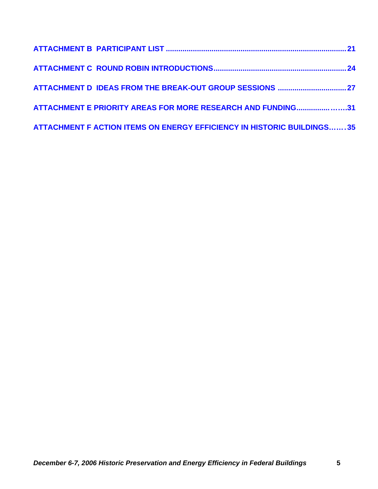| ATTACHMENT E PRIORITY AREAS FOR MORE RESEARCH AND FUNDING31            |  |
|------------------------------------------------------------------------|--|
| ATTACHMENT F ACTION ITEMS ON ENERGY EFFICIENCY IN HISTORIC BUILDINGS35 |  |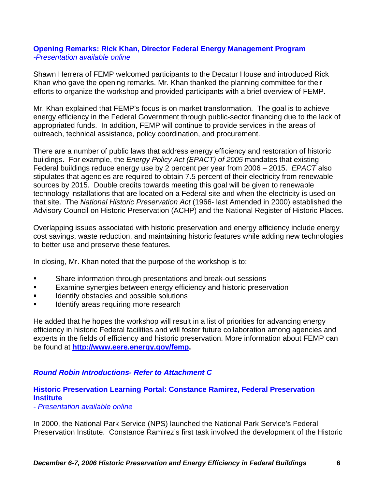### **Opening Remarks: Rick Khan, Director Federal Energy Management Program**  *-Presentation available online*

Shawn Herrera of FEMP welcomed participants to the Decatur House and introduced Rick Khan who gave the opening remarks. Mr. Khan thanked the planning committee for their efforts to organize the workshop and provided participants with a brief overview of FEMP.

Mr. Khan explained that FEMP's focus is on market transformation. The goal is to achieve energy efficiency in the Federal Government through public-sector financing due to the lack of appropriated funds. In addition, FEMP will continue to provide services in the areas of outreach, technical assistance, policy coordination, and procurement.

There are a number of public laws that address energy efficiency and restoration of historic buildings. For example, the *Energy Policy Act (EPACT) of 2005* mandates that existing Federal buildings reduce energy use by 2 percent per year from 2006 – 2015. *EPACT* also stipulates that agencies are required to obtain 7.5 percent of their electricity from renewable sources by 2015. Double credits towards meeting this goal will be given to renewable technology installations that are located on a Federal site and when the electricity is used on that site. The *National Historic Preservation Act* (1966- last Amended in 2000) established the Advisory Council on Historic Preservation (ACHP) and the National Register of Historic Places.

Overlapping issues associated with historic preservation and energy efficiency include energy cost savings, waste reduction, and maintaining historic features while adding new technologies to better use and preserve these features.

In closing, Mr. Khan noted that the purpose of the workshop is to:

- Share information through presentations and break-out sessions
- Examine synergies between energy efficiency and historic preservation
- Identify obstacles and possible solutions
- **IDENTIFY ALTER 19 IDENTIFY Areas requiring more research**

He added that he hopes the workshop will result in a list of priorities for advancing energy efficiency in historic Federal facilities and will foster future collaboration among agencies and experts in the fields of efficiency and historic preservation. More information about FEMP can be found at **<http://www.eere.energy.gov/femp>.** 

## *Round Robin Introductions- Refer to Attachment C*

## **Historic Preservation Learning Portal: Constance Ramirez, Federal Preservation Institute**

*- Presentation available online* 

In 2000, the National Park Service (NPS) launched the National Park Service's Federal Preservation Institute. Constance Ramirez's first task involved the development of the Historic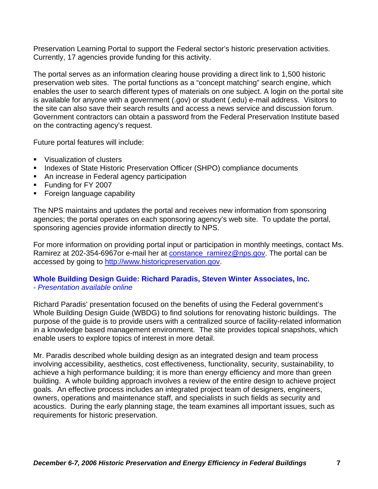Preservation Learning Portal to support the Federal sector's historic preservation activities. Currently, 17 agencies provide funding for this activity.

The portal serves as an information clearing house providing a direct link to 1,500 historic preservation web sites. The portal functions as a "concept matching" search engine, which enables the user to search different types of materials on one subject. A login on the portal site is available for anyone with a government (.gov) or student (.edu) e-mail address. Visitors to the site can also save their search results and access a news service and discussion forum. Government contractors can obtain a password from the Federal Preservation Institute based on the contracting agency's request.

Future portal features will include:

- **Visualization of clusters**
- **Indexes of State Historic Preservation Officer (SHPO) compliance documents**
- **An increase in Federal agency participation**
- **Funding for FY 2007**
- **Foreign language capability**

The NPS maintains and updates the portal and receives new information from sponsoring agencies; the portal operates on each sponsoring agency's web site. To update the portal, sponsoring agencies provide information directly to NPS.

For more information on providing portal input or participation in monthly meetings, contact Ms. Ramirez at 202-354-6967or e-mail her at [constance\\_ramirez@nps.gov.](mailto:constance_ramirez@nps.gov) The portal can be accessed by going to [http://www.historicpreservation.gov](http://www.historicpreservation.gov/).

#### **Whole Building Design Guide: Richard Paradis, Steven Winter Associates, Inc.**  *- Presentation available online*

Richard Paradis' presentation focused on the benefits of using the Federal government's Whole Building Design Guide (WBDG) to find solutions for renovating historic buildings. The purpose of the guide is to provide users with a centralized source of facility-related information in a knowledge based management environment. The site provides topical snapshots, which enable users to explore topics of interest in more detail.

Mr. Paradis described whole building design as an integrated design and team process involving accessibility, aesthetics, cost effectiveness, functionality, security, sustainability, to achieve a high performance building; it is more than energy efficiency and more than green building. A whole building approach involves a review of the entire design to achieve project goals. An effective process includes an integrated project team of designers, engineers, owners, operations and maintenance staff, and specialists in such fields as security and acoustics. During the early planning stage, the team examines all important issues, such as requirements for historic preservation.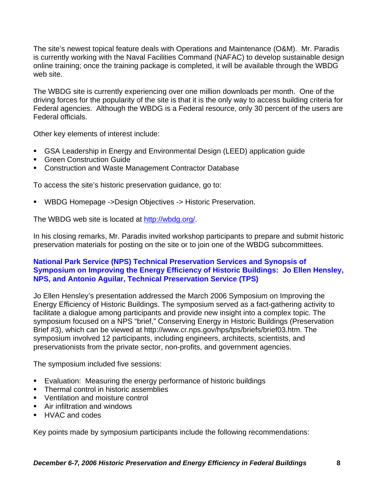The site's newest topical feature deals with Operations and Maintenance (O&M). Mr. Paradis is currently working with the Naval Facilities Command (NAFAC) to develop sustainable design online training; once the training package is completed, it will be available through the WBDG web site.

The WBDG site is currently experiencing over one million downloads per month. One of the driving forces for the popularity of the site is that it is the only way to access building criteria for Federal agencies. Although the WBDG is a Federal resource, only 30 percent of the users are Federal officials.

Other key elements of interest include:

- GSA Leadership in Energy and Environmental Design (LEED) application guide
- **Green Construction Guide**
- Construction and Waste Management Contractor Database

To access the site's historic preservation guidance, go to:

WBDG Homepage ->Design Objectives -> Historic Preservation.

The WBDG web site is located at<http://wbdg.org/>.

In his closing remarks, Mr. Paradis invited workshop participants to prepare and submit historic preservation materials for posting on the site or to join one of the WBDG subcommittees.

# **National Park Service (NPS) Technical Preservation Services and Synopsis of Symposium on Improving the Energy Efficiency of Historic Buildings: Jo Ellen Hensley, NPS, and Antonio Aguilar, Technical Preservation Service (TPS)**

Jo Ellen Hensley's presentation addressed the March 2006 Symposium on Improving the Energy Efficiency of Historic Buildings. The symposium served as a fact-gathering activity to facilitate a dialogue among participants and provide new insight into a complex topic. The symposium focused on a NPS "brief," Conserving Energy in Historic Buildings (Preservation Brief #3), which can be viewed at http://www.cr.nps.gov/hps/tps/briefs/brief03.htm. The symposium involved 12 participants, including engineers, architects, scientists, and preservationists from the private sector, non-profits, and government agencies.

The symposium included five sessions:

- Evaluation: Measuring the energy performance of historic buildings
- Thermal control in historic assemblies
- **Ventilation and moisture control**
- Air infiltration and windows
- **HVAC and codes**

Key points made by symposium participants include the following recommendations: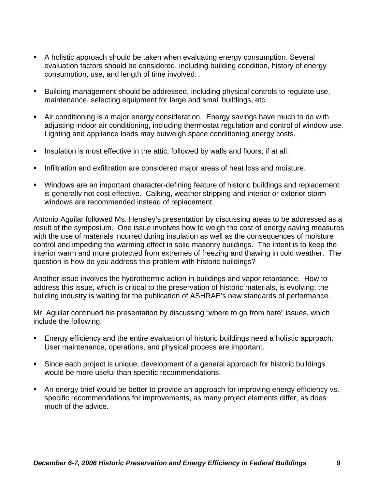- A holistic approach should be taken when evaluating energy consumption. Several evaluation factors should be considered, including building condition, history of energy consumption, use, and length of time involved. .
- Building management should be addressed, including physical controls to regulate use, maintenance, selecting equipment for large and small buildings, etc.
- Air conditioning is a major energy consideration. Energy savings have much to do with adjusting indoor air conditioning, including thermostat regulation and control of window use. Lighting and appliance loads may outweigh space conditioning energy costs.
- **Insulation is most effective in the attic, followed by walls and floors, if at all.**
- **Infiltration and exfiltration are considered major areas of heat loss and moisture.**
- Windows are an important character-defining feature of historic buildings and replacement is generally not cost effective. Calking, weather stripping and interior or exterior storm windows are recommended instead of replacement.

Antonio Aguilar followed Ms. Hensley's presentation by discussing areas to be addressed as a result of the symposium. One issue involves how to weigh the cost of energy saving measures with the use of materials incurred during insulation as well as the consequences of moisture control and impeding the warming effect in solid masonry buildings. The intent is to keep the interior warm and more protected from extremes of freezing and thawing in cold weather. The question is how do you address this problem with historic buildings?

Another issue involves the hydrothermic action in buildings and vapor retardance. How to address this issue, which is critical to the preservation of historic materials, is evolving; the building industry is waiting for the publication of ASHRAE's new standards of performance.

Mr. Aguilar continued his presentation by discussing "where to go from here" issues, which include the following.

- Energy efficiency and the entire evaluation of historic buildings need a holistic approach. User maintenance, operations, and physical process are important.
- Since each project is unique, development of a general approach for historic buildings would be more useful than specific recommendations.
- An energy brief would be better to provide an approach for improving energy efficiency vs. specific recommendations for improvements, as many project elements differ, as does much of the advice.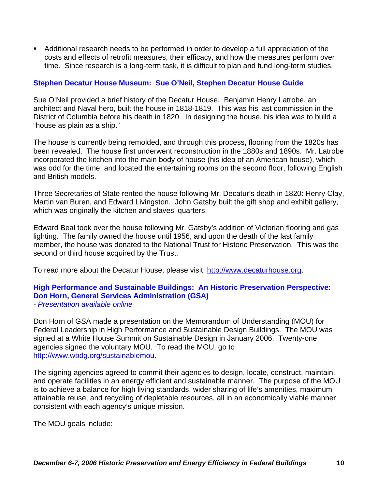Additional research needs to be performed in order to develop a full appreciation of the costs and effects of retrofit measures, their efficacy, and how the measures perform over time. Since research is a long-term task, it is difficult to plan and fund long-term studies.

## **Stephen Decatur House Museum: Sue O'Neil, Stephen Decatur House Guide**

Sue O'Neil provided a brief history of the Decatur House. Benjamin Henry Latrobe, an architect and Naval hero, built the house in 1818-1819. This was his last commission in the District of Columbia before his death in 1820. In designing the house, his idea was to build a "house as plain as a ship."

The house is currently being remolded, and through this process, flooring from the 1820s has been revealed. The house first underwent reconstruction in the 1880s and 1890s. Mr. Latrobe incorporated the kitchen into the main body of house (his idea of an American house), which was odd for the time, and located the entertaining rooms on the second floor, following English and British models.

Three Secretaries of State rented the house following Mr. Decatur's death in 1820: Henry Clay, Martin van Buren, and Edward Livingston. John Gatsby built the gift shop and exhibit gallery, which was originally the kitchen and slaves' quarters.

Edward Beal took over the house following Mr. Gatsby's addition of Victorian flooring and gas lighting. The family owned the house until 1956, and upon the death of the last family member, the house was donated to the National Trust for Historic Preservation. This was the second or third house acquired by the Trust.

To read more about the Decatur House, please visit: [http://www.decaturhouse.org](http://www.decaturhouse.org/).

#### **High Performance and Sustainable Buildings: An Historic Preservation Perspective: Don Horn, General Services Administration (GSA)**  *- Presentation available online*

Don Horn of GSA made a presentation on the Memorandum of Understanding (MOU) for Federal Leadership in High Performance and Sustainable Design Buildings. The MOU was signed at a White House Summit on Sustainable Design in January 2006. Twenty-one agencies signed the voluntary MOU. To read the MOU, go to <http://www.wbdg.org/sustainablemou>.

The signing agencies agreed to commit their agencies to design, locate, construct, maintain, and operate facilities in an energy efficient and sustainable manner. The purpose of the MOU is to achieve a balance for high living standards, wider sharing of life's amenities, maximum attainable reuse, and recycling of depletable resources, all in an economically viable manner consistent with each agency's unique mission.

The MOU goals include: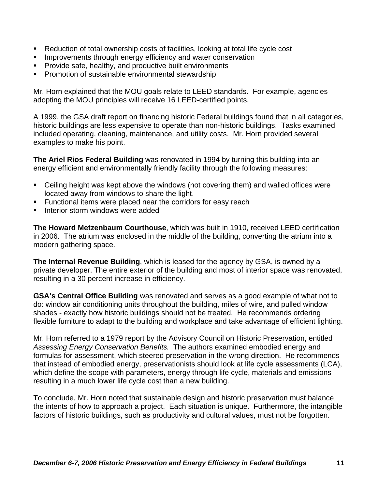- Reduction of total ownership costs of facilities, looking at total life cycle cost
- **IMPROVEMENTS INCOUGH ENERGY EFFICIENCY AND WATER CONSERVATION**
- **Provide safe, healthy, and productive built environments**
- **Promotion of sustainable environmental stewardship**

Mr. Horn explained that the MOU goals relate to LEED standards. For example, agencies adopting the MOU principles will receive 16 LEED-certified points.

A 1999, the GSA draft report on financing historic Federal buildings found that in all categories, historic buildings are less expensive to operate than non-historic buildings. Tasks examined included operating, cleaning, maintenance, and utility costs. Mr. Horn provided several examples to make his point.

**The Ariel Rios Federal Building** was renovated in 1994 by turning this building into an energy efficient and environmentally friendly facility through the following measures:

- Ceiling height was kept above the windows (not covering them) and walled offices were located away from windows to share the light.
- **Functional items were placed near the corridors for easy reach**
- Interior storm windows were added

**The Howard Metzenbaum Courthouse**, which was built in 1910, received LEED certification in 2006. The atrium was enclosed in the middle of the building, converting the atrium into a modern gathering space.

**The Internal Revenue Building**, which is leased for the agency by GSA, is owned by a private developer. The entire exterior of the building and most of interior space was renovated, resulting in a 30 percent increase in efficiency.

**GSA's Central Office Building** was renovated and serves as a good example of what not to do: window air conditioning units throughout the building, miles of wire, and pulled window shades - exactly how historic buildings should not be treated. He recommends ordering flexible furniture to adapt to the building and workplace and take advantage of efficient lighting.

Mr. Horn referred to a 1979 report by the Advisory Council on Historic Preservation, entitled *Assessing Energy Conservation Benefits.* The authors examined embodied energy and formulas for assessment, which steered preservation in the wrong direction. He recommends that instead of embodied energy, preservationists should look at life cycle assessments (LCA), which define the scope with parameters, energy through life cycle, materials and emissions resulting in a much lower life cycle cost than a new building.

To conclude, Mr. Horn noted that sustainable design and historic preservation must balance the intents of how to approach a project. Each situation is unique. Furthermore, the intangible factors of historic buildings, such as productivity and cultural values, must not be forgotten.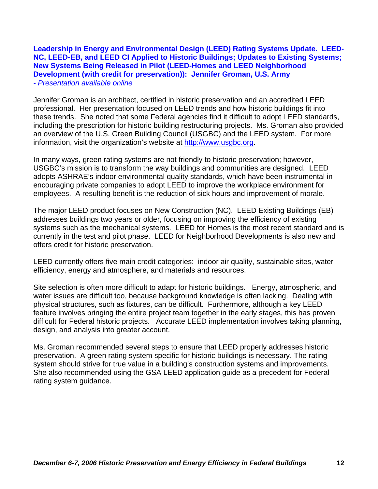#### **Leadership in Energy and Environmental Design (LEED) Rating Systems Update. LEED-NC, LEED-EB, and LEED CI Applied to Historic Buildings; Updates to Existing Systems; New Systems Being Released in Pilot (LEED-Homes and LEED Neighborhood Development (with credit for preservation)): Jennifer Groman, U.S. Army** *- Presentation available online*

Jennifer Groman is an architect, certified in historic preservation and an accredited LEED professional. Her presentation focused on LEED trends and how historic buildings fit into these trends. She noted that some Federal agencies find it difficult to adopt LEED standards, including the prescription for historic building restructuring projects. Ms. Groman also provided an overview of the U.S. Green Building Council (USGBC) and the LEED system. For more information, visit the organization's website at [http://www.usgbc.org.](http://www.usgbc.org/)

In many ways, green rating systems are not friendly to historic preservation; however, USGBC's mission is to transform the way buildings and communities are designed. LEED adopts ASHRAE's indoor environmental quality standards, which have been instrumental in encouraging private companies to adopt LEED to improve the workplace environment for employees. A resulting benefit is the reduction of sick hours and improvement of morale.

The major LEED product focuses on New Construction (NC). LEED Existing Buildings (EB) addresses buildings two years or older, focusing on improving the efficiency of existing systems such as the mechanical systems. LEED for Homes is the most recent standard and is currently in the test and pilot phase. LEED for Neighborhood Developments is also new and offers credit for historic preservation.

LEED currently offers five main credit categories: indoor air quality, sustainable sites, water efficiency, energy and atmosphere, and materials and resources.

Site selection is often more difficult to adapt for historic buildings. Energy, atmospheric, and water issues are difficult too, because background knowledge is often lacking. Dealing with physical structures, such as fixtures, can be difficult. Furthermore, although a key LEED feature involves bringing the entire project team together in the early stages, this has proven difficult for Federal historic projects. Accurate LEED implementation involves taking planning, design, and analysis into greater account.

Ms. Groman recommended several steps to ensure that LEED properly addresses historic preservation. A green rating system specific for historic buildings is necessary. The rating system should strive for true value in a building's construction systems and improvements. She also recommended using the GSA LEED application guide as a precedent for Federal rating system guidance.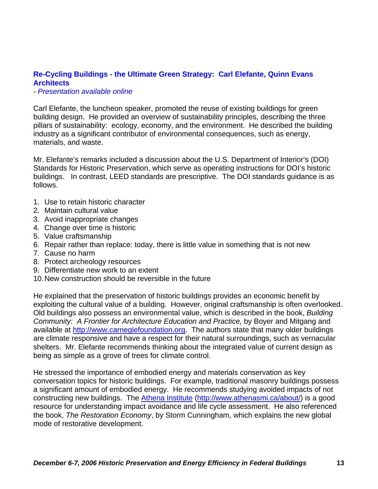# **Re-Cycling Buildings - the Ultimate Green Strategy: Carl Elefante, Quinn Evans Architects**

*- Presentation available online* 

Carl Elefante, the luncheon speaker, promoted the reuse of existing buildings for green building design. He provided an overview of sustainability principles, describing the three pillars of sustainability: ecology, economy, and the environment. He described the building industry as a significant contributor of environmental consequences, such as energy, materials, and waste.

Mr. Elefante's remarks included a discussion about the U.S. Department of Interior's (DOI) Standards for Historic Preservation, which serve as operating instructions for DOI's historic buildings. In contrast, LEED standards are prescriptive. The DOI standards guidance is as follows.

- 1. Use to retain historic character
- 2. Maintain cultural value
- 3. Avoid inappropriate changes
- 4. Change over time is historic
- 5. Value craftsmanship
- 6. Repair rather than replace: today, there is little value in something that is not new
- 7. Cause no harm
- 8. Protect archeology resources
- 9. Differentiate new work to an extent
- 10. New construction should be reversible in the future

He explained that the preservation of historic buildings provides an economic benefit by exploiting the cultural value of a building. However, original craftsmanship is often overlooked. Old buildings also possess an environmental value, which is described in the book, *Building Community: A Frontier for Architecture Education and Practice,* by Boyer and Mitgang and available at [http://www.carnegiefoundation.org](http://www.carnegiefoundation.org/). The authors state that many older buildings are climate responsive and have a respect for their natural surroundings, such as vernacular shelters. Mr. Elefante recommends thinking about the integrated value of current design as being as simple as a grove of trees for climate control.

He stressed the importance of embodied energy and materials conservation as key conversation topics for historic buildings. For example, traditional masonry buildings possess a significant amount of embodied energy. He recommends studying avoided impacts of not constructing new buildings. The [Athena Institute](http://www.athenasmi.ca/about/) ([http://www.athenasmi.ca/about/\)](http://www.athenasmi.ca/about/) is a good resource for understanding impact avoidance and life cycle assessment. He also referenced the book, *The Restoration Economy*, by Storm Cunningham, which explains the new global mode of restorative development.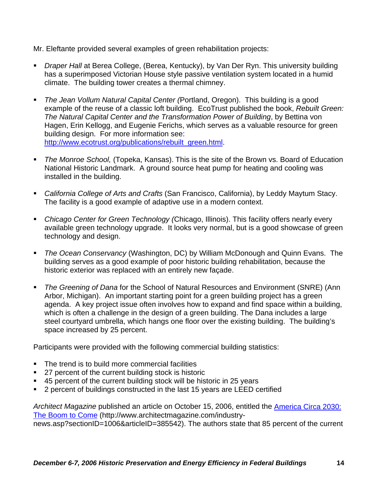Mr. Eleftante provided several examples of green rehabilitation projects:

- *Draper Hall* at Berea College, (Berea, Kentucky), by Van Der Ryn. This university building has a superimposed Victorian House style passive ventilation system located in a humid climate. The building tower creates a thermal chimney.
- *The Jean Vollum Natural Capital Center (*Portland, Oregon). This building is a good example of the reuse of a classic loft building. EcoTrust published the book, *Rebuilt Green: The Natural Capital Center and the Transformation Power of Building*, by Bettina von Hagen, Erin Kellogg, and Eugenie Ferichs, which serves as a valuable resource for green building design. For more information see: [http://www.ecotrust.org/publications/rebuilt\\_green.html.](http://www.ecotrust.org/publications/rebuilt_green.html)
- *The Monroe School,* (Topeka, Kansas). This is the site of the Brown vs. Board of Education National Historic Landmark. A ground source heat pump for heating and cooling was installed in the building.
- *California College of Arts and Crafts* (San Francisco, California), by Leddy Maytum Stacy. The facility is a good example of adaptive use in a modern context.
- *Chicago Center for Green Technology (*Chicago, Illinois). This facility offers nearly every available green technology upgrade. It looks very normal, but is a good showcase of green technology and design.
- *The Ocean Conservancy* (Washington, DC) by William McDonough and Quinn Evans. The building serves as a good example of poor historic building rehabilitation, because the historic exterior was replaced with an entirely new façade.
- *The Greening of Dana* for the School of Natural Resources and Environment (SNRE) (Ann Arbor, Michigan). An important starting point for a green building project has a green agenda. A key project issue often involves how to expand and find space within a building, which is often a challenge in the design of a green building. The Dana includes a large steel courtyard umbrella, which hangs one floor over the existing building. The building's space increased by 25 percent.

Participants were provided with the following commercial building statistics:

- The trend is to build more commercial facilities
- 27 percent of the current building stock is historic
- 45 percent of the current building stock will be historic in 25 years
- 2 percent of buildings constructed in the last 15 years are LEED certified

*Architect Magazine* published an article on October 15, 2006, entitled the [America Circa 2030:](http://www.architectmagazine.com/industry-news.asp?sectionID=1006&articleID=385542)  [The Boom to Come](http://www.architectmagazine.com/industry-news.asp?sectionID=1006&articleID=385542) (http://www.architectmagazine.com/industrynews.asp?sectionID=1006&articleID=385542). The authors state that 85 percent of the current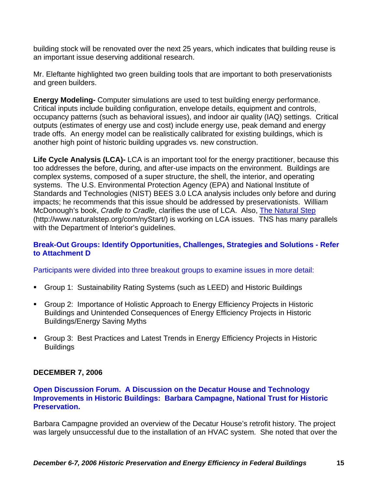building stock will be renovated over the next 25 years, which indicates that building reuse is an important issue deserving additional research.

Mr. Eleftante highlighted two green building tools that are important to both preservationists and green builders.

**Energy Modeling-** Computer simulations are used to test building energy performance. Critical inputs include building configuration, envelope details, equipment and controls, occupancy patterns (such as behavioral issues), and indoor air quality (IAQ) settings. Critical outputs (estimates of energy use and cost) include energy use, peak demand and energy trade offs. An energy model can be realistically calibrated for existing buildings, which is another high point of historic building upgrades vs. new construction.

**Life Cycle Analysis (LCA)-** LCA is an important tool for the energy practitioner, because this too addresses the before, during, and after-use impacts on the environment. Buildings are complex systems, composed of a super structure, the shell, the interior, and operating systems. The U.S. Environmental Protection Agency (EPA) and National Institute of Standards and Technologies (NIST) BEES 3.0 LCA analysis includes only before and during impacts; he recommends that this issue should be addressed by preservationists. William McDonough's book, *Cradle to Cradle*, clarifies the use of LCA. Also, [The Natural Step](http://www.naturalstep.org/com/nyStart/) (http://www.naturalstep.org/com/nyStart/) is working on LCA issues. TNS has many parallels with the Department of Interior's guidelines.

## **Break-Out Groups: Identify Opportunities, Challenges, Strategies and Solutions - Refer to Attachment D**

Participants were divided into three breakout groups to examine issues in more detail:

- Group 1: Sustainability Rating Systems (such as LEED) and Historic Buildings
- Group 2: Importance of Holistic Approach to Energy Efficiency Projects in Historic Buildings and Unintended Consequences of Energy Efficiency Projects in Historic Buildings/Energy Saving Myths
- Group 3: Best Practices and Latest Trends in Energy Efficiency Projects in Historic **Buildings**

## **DECEMBER 7, 2006**

#### **Open Discussion Forum. A Discussion on the Decatur House and Technology Improvements in Historic Buildings: Barbara Campagne, National Trust for Historic Preservation.**

Barbara Campagne provided an overview of the Decatur House's retrofit history. The project was largely unsuccessful due to the installation of an HVAC system. She noted that over the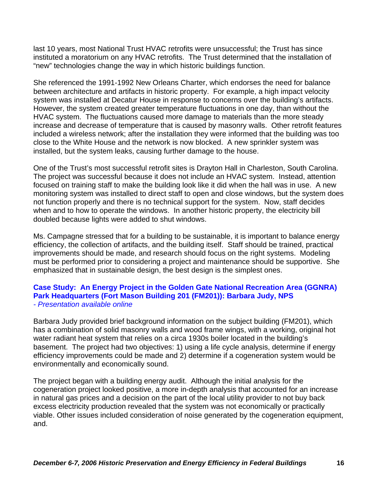last 10 years, most National Trust HVAC retrofits were unsuccessful; the Trust has since instituted a moratorium on any HVAC retrofits. The Trust determined that the installation of "new" technologies change the way in which historic buildings function.

She referenced the 1991-1992 New Orleans Charter, which endorses the need for balance between architecture and artifacts in historic property. For example, a high impact velocity system was installed at Decatur House in response to concerns over the building's artifacts. However, the system created greater temperature fluctuations in one day, than without the HVAC system. The fluctuations caused more damage to materials than the more steady increase and decrease of temperature that is caused by masonry walls. Other retrofit features included a wireless network; after the installation they were informed that the building was too close to the White House and the network is now blocked. A new sprinkler system was installed, but the system leaks, causing further damage to the house.

One of the Trust's most successful retrofit sites is Drayton Hall in Charleston, South Carolina. The project was successful because it does not include an HVAC system. Instead, attention focused on training staff to make the building look like it did when the hall was in use. A new monitoring system was installed to direct staff to open and close windows, but the system does not function properly and there is no technical support for the system. Now, staff decides when and to how to operate the windows. In another historic property, the electricity bill doubled because lights were added to shut windows.

Ms. Campagne stressed that for a building to be sustainable, it is important to balance energy efficiency, the collection of artifacts, and the building itself. Staff should be trained, practical improvements should be made, and research should focus on the right systems. Modeling must be performed prior to considering a project and maintenance should be supportive. She emphasized that in sustainable design, the best design is the simplest ones.

## **Case Study: An Energy Project in the Golden Gate National Recreation Area (GGNRA) Park Headquarters (Fort Mason Building 201 (FM201)): Barbara Judy, NPS**  *- Presentation available online*

Barbara Judy provided brief background information on the subject building (FM201), which has a combination of solid masonry walls and wood frame wings, with a working, original hot water radiant heat system that relies on a circa 1930s boiler located in the building's basement. The project had two objectives: 1) using a life cycle analysis, determine if energy efficiency improvements could be made and 2) determine if a cogeneration system would be environmentally and economically sound.

The project began with a building energy audit. Although the initial analysis for the cogeneration project looked positive, a more in-depth analysis that accounted for an increase in natural gas prices and a decision on the part of the local utility provider to not buy back excess electricity production revealed that the system was not economically or practically viable. Other issues included consideration of noise generated by the cogeneration equipment, and.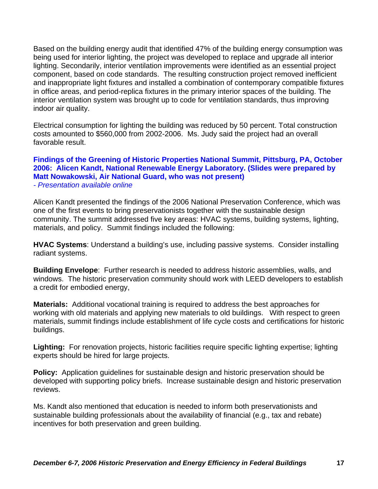Based on the building energy audit that identified 47% of the building energy consumption was being used for interior lighting, the project was developed to replace and upgrade all interior lighting. Secondarily, interior ventilation improvements were identified as an essential project component, based on code standards. The resulting construction project removed inefficient and inappropriate light fixtures and installed a combination of contemporary compatible fixtures in office areas, and period-replica fixtures in the primary interior spaces of the building. The interior ventilation system was brought up to code for ventilation standards, thus improving indoor air quality.

Electrical consumption for lighting the building was reduced by 50 percent. Total construction costs amounted to \$560,000 from 2002-2006. Ms. Judy said the project had an overall favorable result.

#### **Findings of the Greening of Historic Properties National Summit, Pittsburg, PA, October 2006: Alicen Kandt, National Renewable Energy Laboratory. (Slides were prepared by Matt Nowakowski, Air National Guard, who was not present)**  *- Presentation available online*

Alicen Kandt presented the findings of the 2006 National Preservation Conference, which was one of the first events to bring preservationists together with the sustainable design community. The summit addressed five key areas: HVAC systems, building systems, lighting, materials, and policy. Summit findings included the following:

**HVAC Systems**: Understand a building's use, including passive systems. Consider installing radiant systems.

**Building Envelope**: Further research is needed to address historic assemblies, walls, and windows. The historic preservation community should work with LEED developers to establish a credit for embodied energy,

**Materials:** Additional vocational training is required to address the best approaches for working with old materials and applying new materials to old buildings. With respect to green materials, summit findings include establishment of life cycle costs and certifications for historic buildings.

**Lighting:** For renovation projects, historic facilities require specific lighting expertise; lighting experts should be hired for large projects.

**Policy:** Application guidelines for sustainable design and historic preservation should be developed with supporting policy briefs. Increase sustainable design and historic preservation reviews.

Ms. Kandt also mentioned that education is needed to inform both preservationists and sustainable building professionals about the availability of financial (e.g., tax and rebate) incentives for both preservation and green building.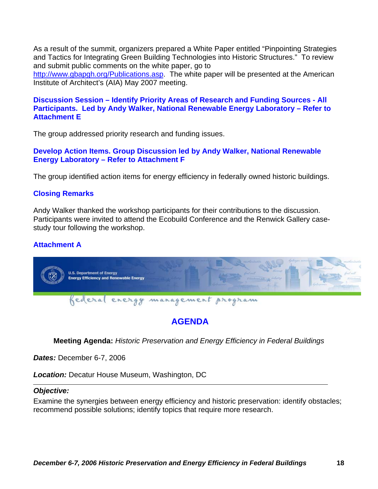As a result of the summit, organizers prepared a White Paper entitled "Pinpointing Strategies and Tactics for Integrating Green Building Technologies into Historic Structures." To review and submit public comments on the white paper, go to

[http://www.gbapgh.org/Publications.asp.](http://www.gbapgh.org/Publications.asp) The white paper will be presented at the American Institute of Architect's (AIA) May 2007 meeting.

# **Discussion Session – Identify Priority Areas of Research and Funding Sources - All Participants. Led by Andy Walker, National Renewable Energy Laboratory – Refer to Attachment E**

The group addressed priority research and funding issues.

## **Develop Action Items. Group Discussion led by Andy Walker, National Renewable Energy Laboratory – Refer to Attachment F**

The group identified action items for energy efficiency in federally owned historic buildings.

# **Closing Remarks**

Andy Walker thanked the workshop participants for their contributions to the discussion. Participants were invited to attend the Ecobuild Conference and the Renwick Gallery casestudy tour following the workshop.

# **Attachment A**



# **AGENDA**

**Meeting Agenda:** *Historic Preservation and Energy Efficiency in Federal Buildings* 

*Dates:* December 6-7, 2006

*Location:* Decatur House Museum, Washington, DC

## *Objective:*

Examine the synergies between energy efficiency and historic preservation: identify obstacles; recommend possible solutions; identify topics that require more research.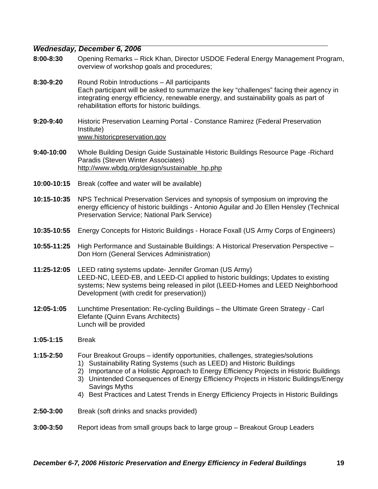#### *Wednesday, December 6, 2006*

- **8:00-8:30** Opening Remarks Rick Khan, Director USDOE Federal Energy Management Program, overview of workshop goals and procedures;
- **8:30-9:20** Round Robin Introductions All participants Each participant will be asked to summarize the key "challenges" facing their agency in integrating energy efficiency, renewable energy, and sustainability goals as part of rehabilitation efforts for historic buildings.
- **9:20-9:40** Historic Preservation Learning Portal Constance Ramirez (Federal Preservation Institute) [www.historicpreservation.gov](http://www.historicpreservation.gov/)
- **9:40-10:00** Whole Building Design Guide Sustainable Historic Buildings Resource Page -Richard Paradis (Steven Winter Associates) [http://www.wbdg.org/design/sustainable\\_hp.php](http://www.wbdg.org/design/sustainable_hp.php)
- **10:00-10:15** Break (coffee and water will be available)
- **10:15-10:35** NPS Technical Preservation Services and synopsis of symposium on improving the energy efficiency of historic buildings - Antonio Aguilar and Jo Ellen Hensley (Technical Preservation Service; National Park Service)
- **10:35-10:55** Energy Concepts for Historic Buildings Horace Foxall (US Army Corps of Engineers)
- **10:55-11:25** High Performance and Sustainable Buildings: A Historical Preservation Perspective Don Horn (General Services Administration)
- **11:25-12:05** LEED rating systems update- Jennifer Groman (US Army) LEED-NC, LEED-EB, and LEED-CI applied to historic buildings; Updates to existing systems; New systems being released in pilot (LEED-Homes and LEED Neighborhood Development (with credit for preservation))
- **12:05-1:05** Lunchtime Presentation: Re-cycling Buildings the Ultimate Green Strategy Carl Elefante (Quinn Evans Architects) Lunch will be provided
- **1:05-1:15** Break
- **1:15-2:50** Four Breakout Groups identify opportunities, challenges, strategies/solutions 1) Sustainability Rating Systems (such as LEED) and Historic Buildings
	- 2) Importance of a Holistic Approach to Energy Efficiency Projects in Historic Buildings
	- 3) Unintended Consequences of Energy Efficiency Projects in Historic Buildings/Energy Savings Myths
	- 4) Best Practices and Latest Trends in Energy Efficiency Projects in Historic Buildings
- **2:50-3:00** Break (soft drinks and snacks provided)
- **3:00-3:50** Report ideas from small groups back to large group Breakout Group Leaders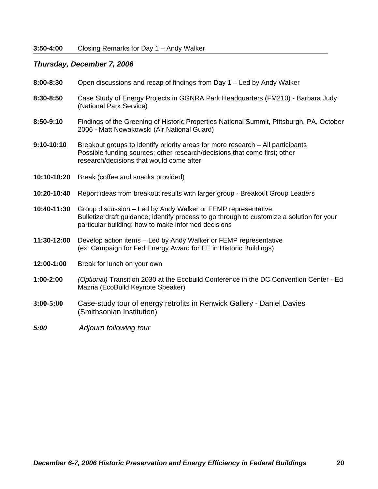# *Thursday, December 7, 2006*

| 8:00-8:30     | Open discussions and recap of findings from Day 1 - Led by Andy Walker                                                                                                                                           |
|---------------|------------------------------------------------------------------------------------------------------------------------------------------------------------------------------------------------------------------|
| 8:30-8:50     | Case Study of Energy Projects in GGNRA Park Headquarters (FM210) - Barbara Judy<br>(National Park Service)                                                                                                       |
| 8:50-9:10     | Findings of the Greening of Historic Properties National Summit, Pittsburgh, PA, October<br>2006 - Matt Nowakowski (Air National Guard)                                                                          |
| 9:10-10:10    | Breakout groups to identify priority areas for more research - All participants<br>Possible funding sources; other research/decisions that come first; other<br>research/decisions that would come after         |
| 10:10-10:20   | Break (coffee and snacks provided)                                                                                                                                                                               |
| 10:20-10:40   | Report ideas from breakout results with larger group - Breakout Group Leaders                                                                                                                                    |
| 10:40-11:30   | Group discussion – Led by Andy Walker or FEMP representative<br>Bulletize draft guidance; identify process to go through to customize a solution for your<br>particular building; how to make informed decisions |
| 11:30-12:00   | Develop action items - Led by Andy Walker or FEMP representative<br>(ex: Campaign for Fed Energy Award for EE in Historic Buildings)                                                                             |
| 12:00-1:00    | Break for lunch on your own                                                                                                                                                                                      |
| 1:00-2:00     | (Optional) Transition 2030 at the Ecobuild Conference in the DC Convention Center - Ed<br>Mazria (EcoBuild Keynote Speaker)                                                                                      |
| $3:00 - 5:00$ | Case-study tour of energy retrofits in Renwick Gallery - Daniel Davies<br>(Smithsonian Institution)                                                                                                              |
|               |                                                                                                                                                                                                                  |

# *5:00 Adjourn following tour*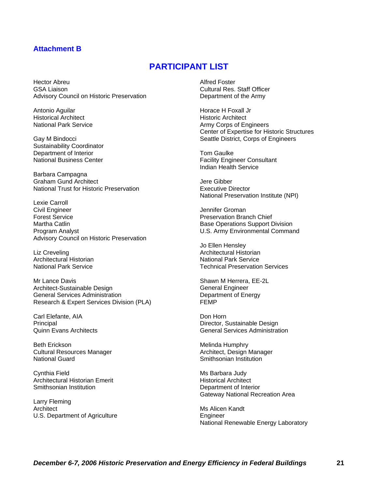#### **Attachment B**

# **PARTICIPANT LIST**

Hector Abreu GSA Liaison Advisory Council on Historic Preservation

Antonio Aguilar Historical Architect National Park Service

Gay M Bindocci Sustainability Coordinator Department of Interior National Business Center

Barbara Campagna Graham Gund Architect National Trust for Historic Preservation

Lexie Carroll Civil Engineer Forest Service Martha Catlin Program Analyst Advisory Council on Historic Preservation

Liz Creveling Architectural Historian National Park Service

Mr Lance Davis Architect-Sustainable Design General Services Administration Research & Expert Services Division (PLA)

Carl Elefante, AIA Principal Quinn Evans Architects

Beth Erickson Cultural Resources Manager National Guard

Cynthia Field Architectural Historian Emerit Smithsonian Institution

Larry Fleming **Architect** U.S. Department of Agriculture Alfred Foster Cultural Res. Staff Officer Department of the Army

Horace H Foxall Jr Historic Architect Army Corps of Engineers Center of Expertise for Historic Structures Seattle District, Corps of Engineers

Tom Gaulke Facility Engineer Consultant Indian Health Service

Jere Gibber Executive Director National Preservation Institute (NPI)

Jennifer Groman Preservation Branch Chief Base Operations Support Division U.S. Army Environmental Command

Jo Ellen Hensley Architectural Historian National Park Service Technical Preservation Services

Shawn M Herrera, EE-2L General Engineer Department of Energy FEMP

Don Horn Director, Sustainable Design General Services Administration

Melinda Humphry Architect, Design Manager Smithsonian Institution

Ms Barbara Judy Historical Architect Department of Interior Gateway National Recreation Area

Ms Alicen Kandt **Engineer** National Renewable Energy Laboratory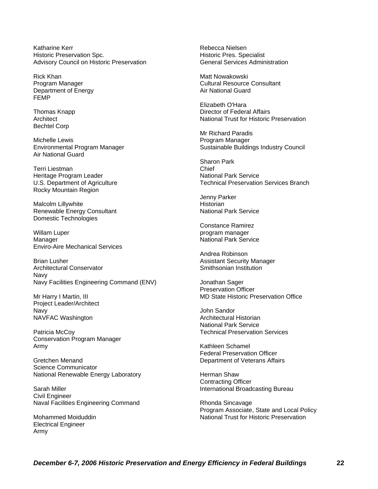Katharine Kerr Historic Preservation Spc. Advisory Council on Historic Preservation

Rick Khan Program Manager Department of Energy FEMP

Thomas Knapp **Architect** Bechtel Corp

Michelle Lewis Environmental Program Manager Air National Guard

Terri Liestman Heritage Program Leader U.S. Department of Agriculture Rocky Mountain Region

Malcolm Lillywhite Renewable Energy Consultant Domestic Technologies

Willam Luper Manager Enviro-Aire Mechanical Services

Brian Lusher Architectural Conservator Navy Navy Facilities Engineering Command (ENV)

Mr Harry I Martin, III Project Leader/Architect Navy NAVFAC Washington

Patricia McCoy Conservation Program Manager Army

Gretchen Menand Science Communicator National Renewable Energy Laboratory

Sarah Miller Civil Engineer Naval Facilities Engineering Command

Mohammed Moiduddin Electrical Engineer Army

Rebecca Nielsen Historic Pres. Specialist General Services Administration

Matt Nowakowski Cultural Resource Consultant Air National Guard

Elizabeth O'Hara Director of Federal Affairs National Trust for Historic Preservation

Mr Richard Paradis Program Manager Sustainable Buildings Industry Council

Sharon Park Chief National Park Service Technical Preservation Services Branch

Jenny Parker **Historian** National Park Service

Constance Ramirez program manager National Park Service

Andrea Robinson Assistant Security Manager Smithsonian Institution

Jonathan Sager Preservation Officer MD State Historic Preservation Office

John Sandor Architectural Historian National Park Service Technical Preservation Services

Kathleen Schamel Federal Preservation Officer Department of Veterans Affairs

Herman Shaw Contracting Officer International Broadcasting Bureau

Rhonda Sincavage Program Associate, State and Local Policy National Trust for Historic Preservation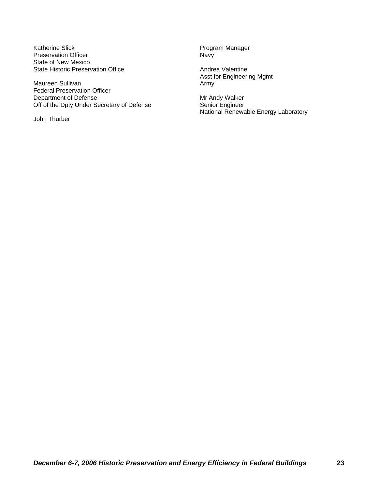Katherine Slick **Program Manager** Program Manager Preservation Officer Navy State of New Mexico State Historic Preservation Office **Andrea Valentine** 

Maureen Sullivan **Army** Army Federal Preservation Officer Department of Defense<br>
Off of the Dpty Under Secretary of Defense<br>
Senior Engineer Off of the Dpty Under Secretary of Defense

John Thurber

Asst for Engineering Mgmt

National Renewable Energy Laboratory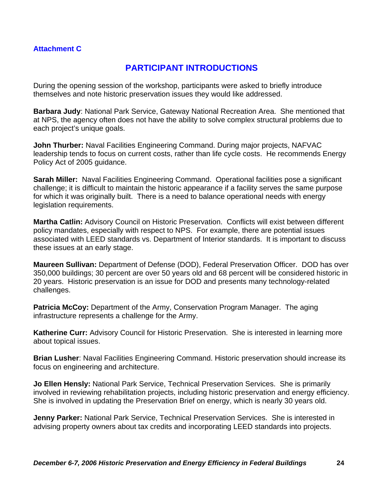# **Attachment C**

# **PARTICIPANT INTRODUCTIONS**

During the opening session of the workshop, participants were asked to briefly introduce themselves and note historic preservation issues they would like addressed.

**Barbara Judy**: National Park Service, Gateway National Recreation Area. She mentioned that at NPS, the agency often does not have the ability to solve complex structural problems due to each project's unique goals.

**John Thurber:** Naval Facilities Engineering Command. During major projects, NAFVAC leadership tends to focus on current costs, rather than life cycle costs. He recommends Energy Policy Act of 2005 guidance.

**Sarah Miller:** Naval Facilities Engineering Command. Operational facilities pose a significant challenge; it is difficult to maintain the historic appearance if a facility serves the same purpose for which it was originally built. There is a need to balance operational needs with energy legislation requirements.

**Martha Catlin:** Advisory Council on Historic Preservation. Conflicts will exist between different policy mandates, especially with respect to NPS. For example, there are potential issues associated with LEED standards vs. Department of Interior standards. It is important to discuss these issues at an early stage.

**Maureen Sullivan:** Department of Defense (DOD), Federal Preservation Officer. DOD has over 350,000 buildings; 30 percent are over 50 years old and 68 percent will be considered historic in 20 years. Historic preservation is an issue for DOD and presents many technology-related challenges.

**Patricia McCoy:** Department of the Army, Conservation Program Manager. The aging infrastructure represents a challenge for the Army.

**Katherine Curr:** Advisory Council for Historic Preservation. She is interested in learning more about topical issues.

**Brian Lusher**: Naval Facilities Engineering Command. Historic preservation should increase its focus on engineering and architecture.

**Jo Ellen Hensly:** National Park Service, Technical Preservation Services. She is primarily involved in reviewing rehabilitation projects, including historic preservation and energy efficiency. She is involved in updating the Preservation Brief on energy, which is nearly 30 years old.

**Jenny Parker:** National Park Service, Technical Preservation Services. She is interested in advising property owners about tax credits and incorporating LEED standards into projects.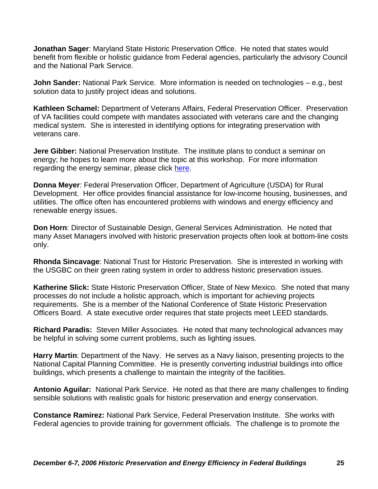**Jonathan Sager**: Maryland State Historic Preservation Office. He noted that states would benefit from flexible or holistic guidance from Federal agencies, particularly the advisory Council and the National Park Service.

**John Sander:** National Park Service. More information is needed on technologies – e.g., best solution data to justify project ideas and solutions.

**Kathleen Schamel:** Department of Veterans Affairs, Federal Preservation Officer. Preservation of VA facilities could compete with mandates associated with veterans care and the changing medical system. She is interested in identifying options for integrating preservation with veterans care.

**Jere Gibber:** National Preservation Institute. The institute plans to conduct a seminar on energy; he hopes to learn more about the topic at this workshop. For more information regarding the energy seminar, please click [here.](http://www.npi.org/seminars.html)

**Donna Meyer**: Federal Preservation Officer, Department of Agriculture (USDA) for Rural Development. Her office provides financial assistance for low-income housing, businesses, and utilities. The office often has encountered problems with windows and energy efficiency and renewable energy issues.

**Don Horn**: Director of Sustainable Design, General Services Administration. He noted that many Asset Managers involved with historic preservation projects often look at bottom-line costs only.

**Rhonda Sincavage**: National Trust for Historic Preservation. She is interested in working with the USGBC on their green rating system in order to address historic preservation issues.

**Katherine Slick:** State Historic Preservation Officer, State of New Mexico. She noted that many processes do not include a holistic approach, which is important for achieving projects requirements. She is a member of the National Conference of State Historic Preservation Officers Board. A state executive order requires that state projects meet LEED standards.

**Richard Paradis:** Steven Miller Associates. He noted that many technological advances may be helpful in solving some current problems, such as lighting issues.

**Harry Martin**: Department of the Navy. He serves as a Navy liaison, presenting projects to the National Capital Planning Committee. He is presently converting industrial buildings into office buildings, which presents a challenge to maintain the integrity of the facilities.

**Antonio Aguilar:** National Park Service. He noted as that there are many challenges to finding sensible solutions with realistic goals for historic preservation and energy conservation.

**Constance Ramirez:** National Park Service, Federal Preservation Institute. She works with Federal agencies to provide training for government officials. The challenge is to promote the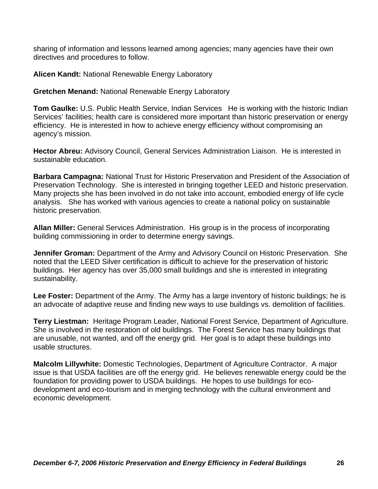sharing of information and lessons learned among agencies; many agencies have their own directives and procedures to follow.

**Alicen Kandt:** National Renewable Energy Laboratory

**Gretchen Menand:** National Renewable Energy Laboratory

**Tom Gaulke:** U.S. Public Health Service, Indian Services He is working with the historic Indian Services' facilities; health care is considered more important than historic preservation or energy efficiency. He is interested in how to achieve energy efficiency without compromising an agency's mission.

**Hector Abreu:** Advisory Council, General Services Administration Liaison. He is interested in sustainable education.

**Barbara Campagna:** National Trust for Historic Preservation and President of the Association of Preservation Technology. She is interested in bringing together LEED and historic preservation. Many projects she has been involved in do not take into account, embodied energy of life cycle analysis. She has worked with various agencies to create a national policy on sustainable historic preservation.

**Allan Miller:** General Services Administration. His group is in the process of incorporating building commissioning in order to determine energy savings.

**Jennifer Groman:** Department of the Army and Advisory Council on Historic Preservation. She noted that the LEED Silver certification is difficult to achieve for the preservation of historic buildings. Her agency has over 35,000 small buildings and she is interested in integrating sustainability.

**Lee Foster:** Department of the Army. The Army has a large inventory of historic buildings; he is an advocate of adaptive reuse and finding new ways to use buildings vs. demolition of facilities.

**Terry Liestman:** Heritage Program Leader, National Forest Service, Department of Agriculture. She is involved in the restoration of old buildings. The Forest Service has many buildings that are unusable, not wanted, and off the energy grid. Her goal is to adapt these buildings into usable structures.

**Malcolm Lillywhite:** Domestic Technologies, Department of Agriculture Contractor. A major issue is that USDA facilities are off the energy grid. He believes renewable energy could be the foundation for providing power to USDA buildings. He hopes to use buildings for ecodevelopment and eco-tourism and in merging technology with the cultural environment and economic development.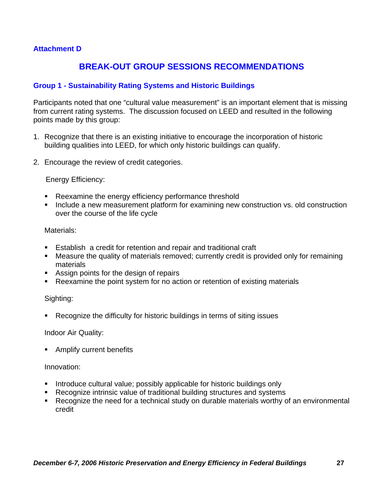# **Attachment D**

# **BREAK-OUT GROUP SESSIONS RECOMMENDATIONS**

## **Group 1 - Sustainability Rating Systems and Historic Buildings**

Participants noted that one "cultural value measurement" is an important element that is missing from current rating systems. The discussion focused on LEED and resulted in the following points made by this group:

- 1. Recognize that there is an existing initiative to encourage the incorporation of historic building qualities into LEED, for which only historic buildings can qualify.
- 2. Encourage the review of credit categories.

#### Energy Efficiency:

- Reexamine the energy efficiency performance threshold
- **Include a new measurement platform for examining new construction vs. old construction** over the course of the life cycle

#### Materials:

- Establish a credit for retention and repair and traditional craft
- Measure the quality of materials removed; currently credit is provided only for remaining materials
- Assign points for the design of repairs
- Reexamine the point system for no action or retention of existing materials

#### Sighting:

Recognize the difficulty for historic buildings in terms of siting issues

#### Indoor Air Quality:

**Amplify current benefits** 

#### Innovation:

- **Introduce cultural value; possibly applicable for historic buildings only**
- Recognize intrinsic value of traditional building structures and systems
- Recognize the need for a technical study on durable materials worthy of an environmental credit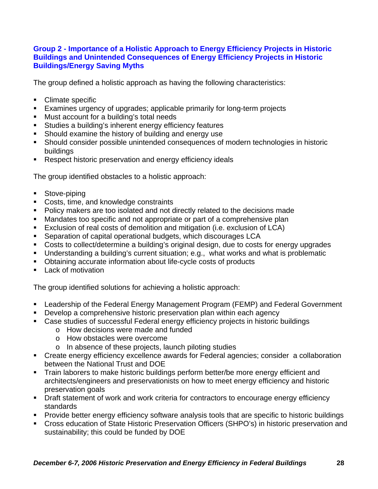# **Group 2 - Importance of a Holistic Approach to Energy Efficiency Projects in Historic Buildings and Unintended Consequences of Energy Efficiency Projects in Historic Buildings/Energy Saving Myths**

The group defined a holistic approach as having the following characteristics:

- Climate specific
- Examines urgency of upgrades; applicable primarily for long-term projects
- **Must account for a building's total needs**
- **Studies a building's inherent energy efficiency features**
- Should examine the history of building and energy use
- Should consider possible unintended consequences of modern technologies in historic buildings
- **Respect historic preservation and energy efficiency ideals**

The group identified obstacles to a holistic approach:

- Stove-piping
- Costs, time, and knowledge constraints
- **Policy makers are too isolated and not directly related to the decisions made**
- Mandates too specific and not appropriate or part of a comprehensive plan
- Exclusion of real costs of demolition and mitigation (i.e. exclusion of LCA)
- Separation of capital operational budgets, which discourages LCA
- Costs to collect/determine a building's original design, due to costs for energy upgrades
- Understanding a building's current situation; e.g., what works and what is problematic
- Obtaining accurate information about life-cycle costs of products
- **Lack of motivation**

The group identified solutions for achieving a holistic approach:

- Leadership of the Federal Energy Management Program (FEMP) and Federal Government
- **Develop a comprehensive historic preservation plan within each agency**
- Case studies of successful Federal energy efficiency projects in historic buildings
	- o How decisions were made and funded
	- o How obstacles were overcome
	- o In absence of these projects, launch piloting studies
- Create energy efficiency excellence awards for Federal agencies; consider a collaboration between the National Trust and DOE
- Train laborers to make historic buildings perform better/be more energy efficient and architects/engineers and preservationists on how to meet energy efficiency and historic preservation goals
- **Draft statement of work and work criteria for contractors to encourage energy efficiency** standards
- **Provide better energy efficiency software analysis tools that are specific to historic buildings**
- Cross education of State Historic Preservation Officers (SHPO's) in historic preservation and sustainability; this could be funded by DOE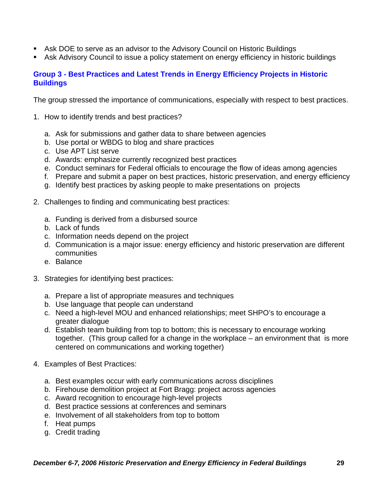- Ask DOE to serve as an advisor to the Advisory Council on Historic Buildings
- Ask Advisory Council to issue a policy statement on energy efficiency in historic buildings

# **Group 3 - Best Practices and Latest Trends in Energy Efficiency Projects in Historic Buildings**

The group stressed the importance of communications, especially with respect to best practices.

- 1. How to identify trends and best practices?
	- a. Ask for submissions and gather data to share between agencies
	- b. Use portal or WBDG to blog and share practices
	- c. Use APT List serve
	- d. Awards: emphasize currently recognized best practices
	- e. Conduct seminars for Federal officials to encourage the flow of ideas among agencies
	- f. Prepare and submit a paper on best practices, historic preservation, and energy efficiency
	- g. Identify best practices by asking people to make presentations on projects
- 2. Challenges to finding and communicating best practices:
	- a. Funding is derived from a disbursed source
	- b. Lack of funds
	- c. Information needs depend on the project
	- d. Communication is a major issue: energy efficiency and historic preservation are different communities
	- e. Balance
- 3. Strategies for identifying best practices:
	- a. Prepare a list of appropriate measures and techniques
	- b. Use language that people can understand
	- c. Need a high-level MOU and enhanced relationships; meet SHPO's to encourage a greater dialogue
	- d. Establish team building from top to bottom; this is necessary to encourage working together. (This group called for a change in the workplace – an environment that is more centered on communications and working together)
- 4. Examples of Best Practices:
	- a. Best examples occur with early communications across disciplines
	- b. Firehouse demolition project at Fort Bragg: project across agencies
	- c. Award recognition to encourage high-level projects
	- d. Best practice sessions at conferences and seminars
	- e. Involvement of all stakeholders from top to bottom
	- f. Heat pumps
	- g. Credit trading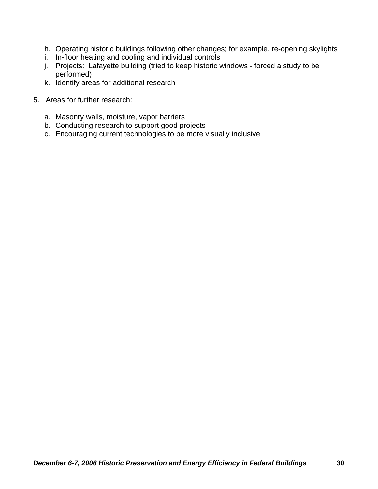- h. Operating historic buildings following other changes; for example, re-opening skylights
- i. In-floor heating and cooling and individual controls
- j. Projects: Lafayette building (tried to keep historic windows forced a study to be performed)
- k. Identify areas for additional research
- 5. Areas for further research:
	- a. Masonry walls, moisture, vapor barriers
	- b. Conducting research to support good projects
	- c. Encouraging current technologies to be more visually inclusive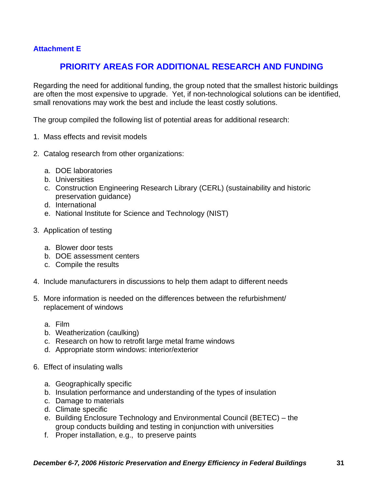# **Attachment E**

# **PRIORITY AREAS FOR ADDITIONAL RESEARCH AND FUNDING**

Regarding the need for additional funding, the group noted that the smallest historic buildings are often the most expensive to upgrade. Yet, if non-technological solutions can be identified, small renovations may work the best and include the least costly solutions.

The group compiled the following list of potential areas for additional research:

- 1. Mass effects and revisit models
- 2. Catalog research from other organizations:
	- a. DOE laboratories
	- b. Universities
	- c. Construction Engineering Research Library (CERL) (sustainability and historic preservation guidance)
	- d. International
	- e. National Institute for Science and Technology (NIST)
- 3. Application of testing
	- a. Blower door tests
	- b. DOE assessment centers
	- c. Compile the results
- 4. Include manufacturers in discussions to help them adapt to different needs
- 5. More information is needed on the differences between the refurbishment/ replacement of windows
	- a. Film
	- b. Weatherization (caulking)
	- c. Research on how to retrofit large metal frame windows
	- d. Appropriate storm windows: interior/exterior
- 6. Effect of insulating walls
	- a. Geographically specific
	- b. Insulation performance and understanding of the types of insulation
	- c. Damage to materials
	- d. Climate specific
	- e. Building Enclosure Technology and Environmental Council (BETEC) the group conducts building and testing in conjunction with universities
	- f. Proper installation, e.g., to preserve paints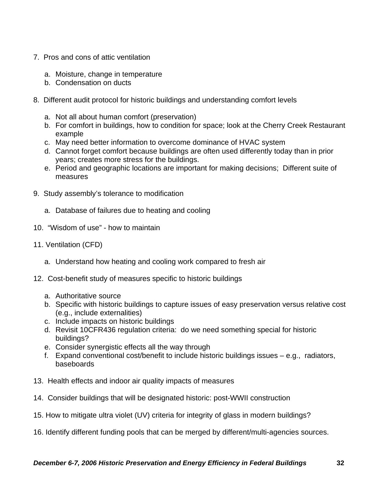- 7. Pros and cons of attic ventilation
	- a. Moisture, change in temperature
	- b. Condensation on ducts
- 8. Different audit protocol for historic buildings and understanding comfort levels
	- a. Not all about human comfort (preservation)
	- b. For comfort in buildings, how to condition for space; look at the Cherry Creek Restaurant example
	- c. May need better information to overcome dominance of HVAC system
	- d. Cannot forget comfort because buildings are often used differently today than in prior years; creates more stress for the buildings.
	- e. Period and geographic locations are important for making decisions; Different suite of measures
- 9. Study assembly's tolerance to modification
	- a. Database of failures due to heating and cooling
- 10. "Wisdom of use" how to maintain
- 11. Ventilation (CFD)
	- a. Understand how heating and cooling work compared to fresh air
- 12. Cost-benefit study of measures specific to historic buildings
	- a. Authoritative source
	- b. Specific with historic buildings to capture issues of easy preservation versus relative cost (e.g., include externalities)
	- c. Include impacts on historic buildings
	- d. Revisit 10CFR436 regulation criteria: do we need something special for historic buildings?
	- e. Consider synergistic effects all the way through
	- f. Expand conventional cost/benefit to include historic buildings issues e.g., radiators, baseboards
- 13. Health effects and indoor air quality impacts of measures
- 14. Consider buildings that will be designated historic: post-WWII construction
- 15. How to mitigate ultra violet (UV) criteria for integrity of glass in modern buildings?
- 16. Identify different funding pools that can be merged by different/multi-agencies sources.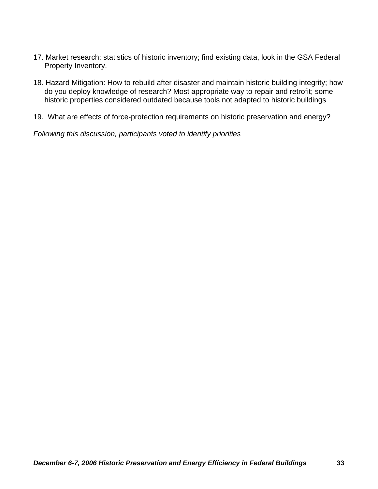- 17. Market research: statistics of historic inventory; find existing data, look in the GSA Federal Property Inventory.
- 18. Hazard Mitigation: How to rebuild after disaster and maintain historic building integrity; how do you deploy knowledge of research? Most appropriate way to repair and retrofit; some historic properties considered outdated because tools not adapted to historic buildings
- 19. What are effects of force-protection requirements on historic preservation and energy?

*Following this discussion, participants voted to identify priorities*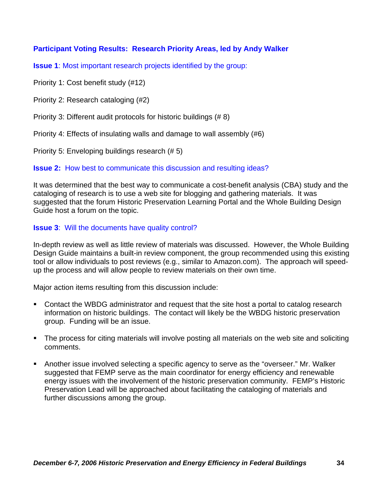# **Participant Voting Results: Research Priority Areas, led by Andy Walker**

**Issue 1:** Most important research projects identified by the group:

Priority 1: Cost benefit study (#12)

Priority 2: Research cataloging (#2)

Priority 3: Different audit protocols for historic buildings (# 8)

Priority 4: Effects of insulating walls and damage to wall assembly (#6)

Priority 5: Enveloping buildings research (# 5)

# **Issue 2:** How best to communicate this discussion and resulting ideas?

It was determined that the best way to communicate a cost-benefit analysis (CBA) study and the cataloging of research is to use a web site for blogging and gathering materials. It was suggested that the forum Historic Preservation Learning Portal and the Whole Building Design Guide host a forum on the topic.

# **Issue 3:** Will the documents have quality control?

In-depth review as well as little review of materials was discussed. However, the Whole Building Design Guide maintains a built-in review component, the group recommended using this existing tool or allow individuals to post reviews (e.g., similar to Amazon.com). The approach will speedup the process and will allow people to review materials on their own time.

Major action items resulting from this discussion include:

- Contact the WBDG administrator and request that the site host a portal to catalog research information on historic buildings. The contact will likely be the WBDG historic preservation group. Funding will be an issue.
- The process for citing materials will involve posting all materials on the web site and soliciting comments.
- Another issue involved selecting a specific agency to serve as the "overseer." Mr. Walker suggested that FEMP serve as the main coordinator for energy efficiency and renewable energy issues with the involvement of the historic preservation community. FEMP's Historic Preservation Lead will be approached about facilitating the cataloging of materials and further discussions among the group.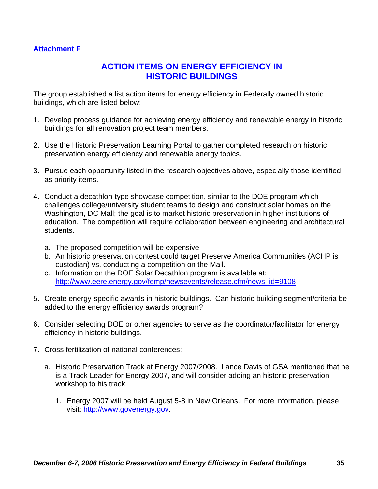# **Attachment F**

# **ACTION ITEMS ON ENERGY EFFICIENCY IN HISTORIC BUILDINGS**

The group established a list action items for energy efficiency in Federally owned historic buildings, which are listed below:

- 1. Develop process guidance for achieving energy efficiency and renewable energy in historic buildings for all renovation project team members.
- 2. Use the Historic Preservation Learning Portal to gather completed research on historic preservation energy efficiency and renewable energy topics.
- 3. Pursue each opportunity listed in the research objectives above, especially those identified as priority items.
- 4. Conduct a decathlon-type showcase competition, similar to the DOE program which challenges college/university student teams to design and construct solar homes on the Washington, DC Mall; the goal is to market historic preservation in higher institutions of education. The competition will require collaboration between engineering and architectural students.
	- a. The proposed competition will be expensive
	- b. An historic preservation contest could target Preserve America Communities (ACHP is custodian) vs. conducting a competition on the Mall.
	- c. Information on the DOE Solar Decathlon program is available at: [http://www.eere.energy.gov/femp/newsevents/release.cfm/news\\_id=9108](http://www.eere.energy.gov/femp/newsevents/release.cfm/news_id=9108)
- 5. Create energy-specific awards in historic buildings. Can historic building segment/criteria be added to the energy efficiency awards program?
- 6. Consider selecting DOE or other agencies to serve as the coordinator/facilitator for energy efficiency in historic buildings.
- 7. Cross fertilization of national conferences:
	- a. Historic Preservation Track at Energy 2007/2008. Lance Davis of GSA mentioned that he is a Track Leader for Energy 2007, and will consider adding an historic preservation workshop to his track
		- 1. Energy 2007 will be held August 5-8 in New Orleans. For more information, please visit: [http://www.govenergy.gov](http://www.govenergy.gov/).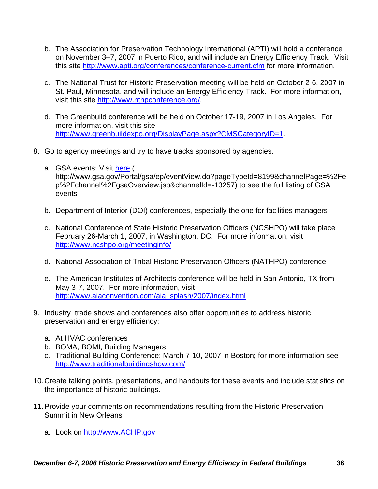- b. The Association for Preservation Technology International (APTI) will hold a conference on November 3–7, 2007 in Puerto Rico, and will include an Energy Efficiency Track. Visit this site<http://www.apti.org/conferences/conference-current.cfm>for more information.
- c. The National Trust for Historic Preservation meeting will be held on October 2-6, 2007 in St. Paul, Minnesota, and will include an Energy Efficiency Track. For more information, visit this site<http://www.nthpconference.org/>.
- d. The Greenbuild conference will be held on October 17-19, 2007 in Los Angeles. For more information, visit this site <http://www.greenbuildexpo.org/DisplayPage.aspx?CMSCategoryID=1>.
- 8. Go to agency meetings and try to have tracks sponsored by agencies.
	- a. GSA events: Visit [here](http://www.gsa.gov/Portal/gsa/ep/eventView.do?pageTypeId=8199&channelPage=/ep/channel/gsaOverview.jsp&channelId=-13257) ( http://www.gsa.gov/Portal/gsa/ep/eventView.do?pageTypeId=8199&channelPage=%2Fe p%2Fchannel%2FgsaOverview.jsp&channelId=-13257) to see the full listing of GSA events
	- b. Department of Interior (DOI) conferences, especially the one for facilities managers
	- c. National Conference of State Historic Preservation Officers (NCSHPO) will take place February 26-March 1, 2007, in Washington, DC. For more information, visit <http://www.ncshpo.org/meetinginfo/>
	- d. National Association of Tribal Historic Preservation Officers (NATHPO) conference.
	- e. The American Institutes of Architects conference will be held in San Antonio, TX from May 3-7, 2007. For more information, visit [http://www.aiaconvention.com/aia\\_splash/2007/index.html](http://www.aiaconvention.com/aia_splash/2007/index.html)
- 9. Industry trade shows and conferences also offer opportunities to address historic preservation and energy efficiency:
	- a. At HVAC conferences
	- b. BOMA, BOMI, Building Managers
	- c. Traditional Building Conference: March 7-10, 2007 in Boston; for more information see <http://www.traditionalbuildingshow.com/>
- 10. Create talking points, presentations, and handouts for these events and include statistics on the importance of historic buildings.
- 11. Provide your comments on recommendations resulting from the Historic Preservation Summit in New Orleans
	- a. Look on [http://www.ACHP.gov](http://www.achp.gov/)